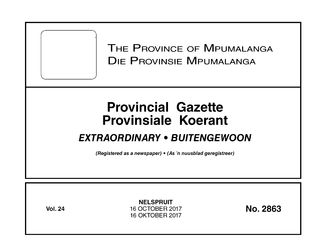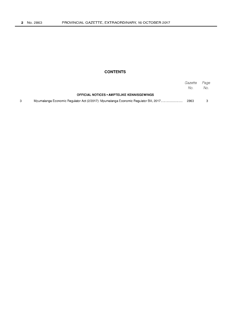## **CONTENTS**

|                                                                                      | Gazette<br>No. | Page<br>No. . |
|--------------------------------------------------------------------------------------|----------------|---------------|
| <b>OFFICIAL NOTICES • AMPTELIKE KENNISGEWINGS</b>                                    |                |               |
| Mpumalanga Economic Regulator Act (2/2017): Mpumalanga Economic Regulator Bill, 2017 | 2863           |               |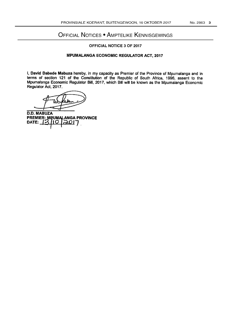## OFFICIAL NOTICES • AMPTELIKE KENNISGEWINGS

## OFFICIAL NOTICE 3 OF 2017

## MPUMALANGA ECONOMIC REGULATOR ACT, 2017

I, David Dabede Mabuza hereby, in my capacity as Premier of the Province of Mpumalanga and in terms of section 121 of the Constitution of the Republic of South Africa. 1996, assent to the Mpumalanga Economic Regulator Bill. 2017. which Bill will be known as the Mpumalanga Economic Regulator Act. 2017.

 $\sqrt{\frac{m_1+m_2}{2}}$ 

D.D.MABUZA PREMIER: MRUMALANGA PROVINCE  $DATE: 13/10/2017$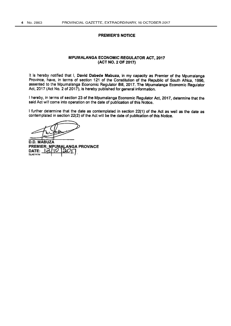#### PREMIER'S NOTICE

#### MPUMALANGA ECONOMIC REGULATOR ACT, 2017 (ACT NO.2 OF 2017)

It is hereby notified that I, David Dabede Mabuza, in my capacity as Premier of the Mpumalanga Province, have, in terms of section 121 of the Constitution of the Republic of South Africa. 1996, assented to the Mpumalanga Economic Regulator Bill. 2017. The Mpumalanga Economic Regulator Act, 2017 (Act No. 2 of 2017), is hereby published for general information.

I hereby, in terms of section 23 of the Mpumalanga Economic Regulator Act, 2017, determine that the said Act will come into operation on the date of publication of this Notice.

I further determine that the date as contemplated in section 22(1) of the Act as well as the date as contemplated in section 22(2) of the Act will be the date of publication of this Notice.

PREMIER: MPUMALANGA PROVINCE

DATE: 13/10 | 2017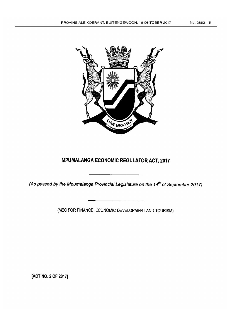

# **MPUMALANGA ECONOMIC REGULATOR ACT, 2017**

(As passed by the Mpumalanga Provincial Legislature on the  $14<sup>th</sup>$  of September 2017)

(MEC FOR FINANCE, ECONOMIC DEVELOPMENT AND TOURISM)

**[ACT NO.2 OF 2017]**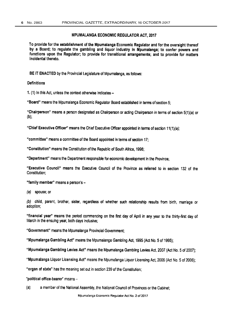### MPUMALANGA ECONOMIC REGULATOR ACT, 2017

To provide for the establishment of the Mpumalanga Economic Regulator and for the oversight thereof by a Board; to regulate the gambling and liquor industry in Mpumalanga; to confer powers and functions upon the Regulator; to provide for transitional arrangements; and to provide for matters incidental thereto.

BE IT ENACTED by the Provincial Legislature of Mpumalanga, as follows:

**Definitions** 

1. (1) In this Act, unless the context otherwise indicates-

"Board" means the Mpumalanga Economic Regulator Board established in terms of section 5;

"Chairperson" means a person designated as Chairperson or acting Chairperson in terms of section 5(1)(a) or (b);

"Chief Executive Officer" means the Chief Executive Officer appointed in terms of section 11(1)(a);

"committee" means a committee of the Board appointed in terms of section 17;

"Constitution" means the Constitution of the Republic of South Africa, 1996;

"Department" means the Department responsible for economic development in the Province;

"Executive Council" means the Executive Council of the Province as referred to in section 132 of the Constitution:

"family member" means a person's-

(a) spouse; or

(b) child, parent, brother, Sister, regardless of whether such relationship resutts from birth, marriage or adoption;

"financial year" means the period commencing on the first day of April in any year to the thirty-first day of March in the ensuing year, both days inclusive;

"Government" means the Mpumalanga Provincial Government;

"Mpumalanga Gambling Act" means the Mpumalanga Gambling Act, 1995 (Act No. 5 of 1995);

"Mpumalanga Gambling Levies Act" means the Mpumalanga Gambling Levies Act. 2007 (Act No.5 of 2007);

"Mpumalanga Liquor Licensing Act" means the Mpumalanga Liquor Licensing Act, 2006 (Act No.5 of 2006);

"organ of state" has the meaning set out in section 239 of the Constitution;

"political office-bearer" means -

(a) a member of the National Assembly. the National Council of Provinces or the Cabinet;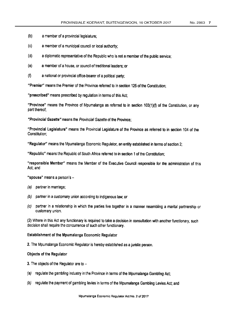- (b) a member of a provincial legislature;
- (c) a member of a municipal council or local authority;
- (d) a diplomatic representative of the Republic who is not a member of the public service;
- (e) a member of a house, or council of traditional leaders; or
- (n a national or provincial office.bearer of a political party;

"Premier" means the Premier of the Province referred to in section 125 of the Constitution;

"prescribed" means prescribed by regulation in terms of this Act;

"Province" means the Province of Mpumalanga as referred to in section 103(1)(f) of the Constitution, or any part thereof;

"Provincial Gazette" means the Provincial Gazette of the Province;

"Provincial Legislature" means the Provincial Legislature of the Province as referred to in section 104 of the Constitution;

"Regulator" means the Mpumalanga Economic Regulator, an entity established in terms of section 2;

"Republic" means the Republic of South Africa referred to in section 1 of the Constitution;

"responsible Member" means the Member of the Executive Council responsible for the administration of this Act; and

"spouse" means a person's -

- (a) partner in marriage;
- (b) partner in a customary union according to indigenous law; or
- (c) partner in a relationship in which the parties live together in a manner resembling a marital partnership or customary union.

(2) Where in this Act any functionary is required to take a decision in consultation with another functionary, such decision shall require the concurrence of such other functionary.

## Establishment of the Mpumalanga Economic Regulator

2. The Mpumalanga Economic Regulator is hereby established as a juristic person.

## Objects of the Regulator

- 3. The objects of the Regulator are to  $-$
- (a) regulate the gambling industry in the Province in terms of the Mpumalanga Gambling Act;
- (b) regulate the payment of gambling levies in terms of the Mpumalanga Gambling Levies Act; and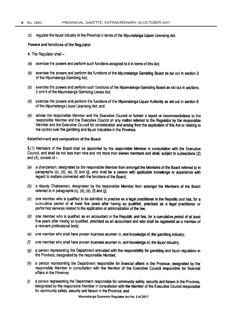(c) regulate the liquor industry in the Province in terms of the Mpumalanga Liquor Licensing Act.

### Powers and functions of the Regulator

- 4. The Regulator shall -
- (a) exercise the powers and perform such functions assigned to it in terms of this Act;
- (b) exercise the powers and perform the functions of the Mpumalanga Gambling Board as set out in section 3 of the Mpumalanga Gambling Act;
- (c) exercise the powers and perform such functions of the Mpumalanga Gambling Board as set out in sections 2 and 4 of the Mpumalanga Gambling Levies Act;
- (d) exercise the powers and perform the functions of the Mpumalanga Liquor Authority as set out in section 6 of the Mpumalanga Liquor Licensing Act; and
- (e) advise the responsible Member and the Executive Council or furnish a report or recommendations to the responsible Member and the Executive Council on any matter referred to the Regulator by the responsible Member and the Executive Council for consideration and arising from the application of this Act or relating to the control over the gambling and liquor industries in the Province.

#### Establish ment and composition of the Board

5.(1) Members of the Board shall be appointed by the responsible Member in consultation with the Executive Council, and shall be not less than nine and not more than eleven members and shall, subject to subsections (2) and  $(4)$ , consist of  $-$ 

- (a) a chairperson, designated by the responsible Member from amongst the Members of the Board referred to in paragraphs (c), (d), (e), (f) and (j), who shall be a person with applicable knowledge or experience with regard to matters connected with the functions of the Board;
- (b) a deputy Chairperson, designated by the responsible Member from amongst the Members of the Board referred to in paragraphs  $(c)$ ,  $(d)$ ,  $(e)$ ,  $(f)$  and  $(j)$ ;
- (c) one member who is qualified to be admitted to practice as a legal practitioner in the Republic and has, for a cumulative period of at least five years after having so qualified, practised as a legal practitioner or performed services related to the application or administration of the law;
- (d) one member who is qualified as an accountant in the Republic and has, for a cumulative period of at least five years after having so qualified, practised as an accountant and who shall be registered as a member of a relevant professional body;
- (e) one member who shall have proven business acumen in, and knowledge of, the gambling industry;
- $\langle f \rangle$  one member who shall have proven business acumen in, and knowledge of, the liquor industry;
- $(q)$  a person representing the Department entrusted with the responsibility for gambling and liquor regulation in the Province, deSignated by the responsible Member;
- (h) a person representing the Department responsible for financial affairs in the Province, designated by the responsible Member in consultation with the Member of the Executive Council responsible for financial affairs in the Province;
- (i) a person representing the Department responsible for community safety, security and liaison in the Province, designated by the responsible Member in consultation with the Member of the Executive Council responsible for community safety, security and liaison in the Province; and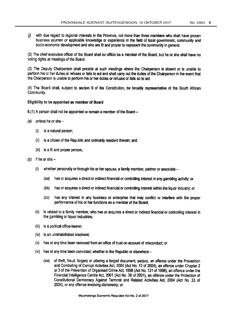*(i)* with due regard to regional interests in the Province, not more than three members who shall have proven business acumen or applicable knowledge or experience in the field of local govemment, community and socia-economic development and who are fit and proper to represent the community in general.

(2) The chief executive offICer of the Board shall ex officio be a member of the Board, but he or she shall have no voting rights at meetings of the Board.

(3) The Oeputy Chairperson shall preside at such meetings where the Chairperson is absent or is unable to perform his or her duties or refuses or fails to act and shall carry out the duties of the Chairperson in the event that the Chairperson is unable to perform his or her duties or refuses or fails so to act.

(4) The Board shall, SUbject to section 9 of the Constitution, be broadly representative of the South African Community.

## Eligibility to be appointed as member of Board

6.(1) A person shall not be appointed or remain a member of the Board-

- (a) unless he or she  $-$ 
	- (i) is a natural person;
	- $(ii)$  is a citizen of the Republic and ordinarily resident therein; and
	- (iii) is a fit and proper person;
- $(b)$  if he or she -
	- (i) whether personally or through his or her spouse, a family member, partner or associate-
		- (aa) has or acquires a direct or indirect financial or controlling interest in any gambling activity; or
		- (bb) has or acquires a direct or indirect financial or controlling interest within the liquor industry; or
		- (cc) has any interest in any business or enterprise that may conflict or interfere with the proper performance of his or her functions as a member of the Board;
	- (ii) is related to a family member, who has or acquires a direct or indirect financial or controlling interest in the gambling or liquor industries;
	- (iii) is a political office-bearer;
	- (iv) is an un rehabilitated insolvent;
	- (v) has at any time been removed from an office of trust on account of misconduct; or
	- (vi) has at any time been convicted, whether in the Republic or elsewhere  $-$ 
		- (aa) of theft, fraud, forgery or uttering a forged document, perjury, an offence under the Prevention and Combating of Corrupt Activities Act, 2004 (Act No. 12 of 2004), an offence under Chapter 2 or 3 of the Prevention of Organised Crime Act, 1998 (Act No. 121 of 1998), an offence under the Financial Intelligence Centre Act, 2001 (Act No. 38 of 2001). an offence under the Protection of Constitutional Democracy Against Terrorist and Related Activities Act. 2004 (Act No. 33 of 2004), or any offence involving dishonesty; or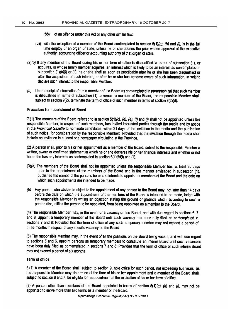- (bb) of an offence under this Act or any other similar law;
- (vii) with the exception of a member of the Board contemplated in section  $5(1)(q)$ , (h) and (i), is in the full time employ of an organ of state, unless he or she obtains the prior written approval of the executive authority, accounting officer or accounting authority of that organ of state.
- $(2)(a)$  If any member of the Board during his or her term of office is disqualified in terms of subsection (1), or acquires, or whose family member acquires, an interest which is likely to be an interest as contemplated in subsection (1)(b)(i) or (ii), he or she shall as soon as practicable after he or she has been disqualified or after the acquisition of such interest, or after he or she has become aware of such information, in writing declare such interest to the responsible Member.
- (b) Upon receipt of information from a member of the Board as contemplated in paragraph (a) that such member is disqualified in terms of subsection (1) to remain a member of the Board, the responsible Member shall, subject to section 9(2), terminate the term of office of such member in terms of section 9(2)(d).

#### Procedure for appointment of Board

7.(1) The members of the Board referred to in section 5(1)(c), (d), (e), (f) and (j) shall not be appointed unless the responsible Member, in respect of such members, has invited interested parties through the media and by notice in the Provincial Gazette to nominate candidates, within 21 days of the invitation in the media and the publication of such notice, for consideration by the responsible Member. Provided that the invitation through the media shall include an invttation in at least one newspaper circulating in the Province.

(2) A person shall, prior to his or her appointment as a member of the Board, submit to the responsible Member a written, sworn or confirmed statement in which he or she declares his or her financial interests and whether or not he or she has any interests as contemplated in section 6(1)(b)(i) and (ii).

- (3)(a) The members of the Board shall not be appointed unless the responsible Member has, at least 30 days prior to the appointment of the members of the Board and in the manner envisaged in subsection (1), published the names of the persons he or she intends to appoint as members of the Board and the date on which such appointments are intended to be made.
- (b) Any person who wishes to object to the appointment of any person to the Board may, not later than 14 days before the date on which the appointment of the members of the Board is intended to be made, lodge with the responsible Member in writing an objection stating the ground or grounds which, according to such a person disqualifies the person to be appointed, from being appointed as a member to the Board.

(4) The responsible Member may, in the event of a vacancy on the Board, and with due regard to sections 6, 7 and 8, appoint a temporary member of the Board until such vacancy has been duly filled as contemplated in sections 7 and 8: Provided that the term of office of any such temporary member may not exceed a period of three months in respect of any specific vacancy on the Board.

(5) The responsible Member may, in the event of all the positions on the Board being vacant, and with due regard to sections 5 and 6, appoint persons as temporary members to constitute an interim Board until such vacancies have been duly filled as contemplated in sections 7 and 8: Provided that the term of office of such interim Board may not exceed a period of six months.

#### Term of office

8.(1) A member of the Board shall, subject to section 9, hold office for such period, not exceeding five years, as the responsible Member may determine at the time of his or her appointment and a member of the Board shall, subject to section 6 and 7, be eligible for reappointment at the expiration of his or her term of office.

(2) A person other than members of the Board appointed in terms of section 5(1)(g), (h) and (i), may not be appointed to serve more than two terms as a member of the Board.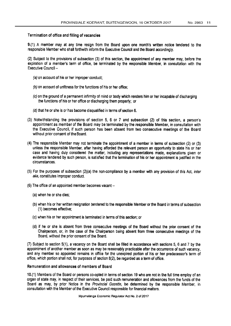#### Termination of office and filling of vacancies

9.(1) A member may at any time resign from the Board upon one month's written notice tendered to the responsible Member who shall forthwith inform the Executive Council and the Board accordingly.

(2) Subject to the provisions of subsection (3) of this section. the appointment of any member may. before the expiration of a member's term of office. be terminated by the responsible Member, in consultation with the Executive Council-

- (a) on account of his or her improper conduct;
- (b) on account of unfitness for the functions of his or her office;
- (e) on the ground of a permanent infirmity of mind or body which renders him or her incapable of discharging the functions of his or her office or discharging them properly; or
- (d) that he or she is or has become disqualified in terms of section 6.
- (3) Notwithstanding the provisions of section 5, 6 or 7 and subsection (2) of this section, a person's appointment as member of the Board may be terminated by the responsible Member. in consultation with the Executive Council, if such person has been absent from two consecutive meetings of the Board without prior consent of the Board.
- (4) The responsible Member may not terminate the appointment of a member in terms of subsection (2) or (3) unless the responsible Member, after having afforded the relevant person an opportunity to state his or her case and having duly considered the matter, including any representations made. explanations given or evidence tendered by such person, is satisfied that the termination of his or her appointment is justified in the circumstances.
- (5) For the purposes of subsection (2)(a) the non-compltance by a member with any provision of this Act, inter alia. constitutes improper conduct.
- (6) The office of an appointed member becomes vacant  $-$ 
	- (a) when he or she dies;
	- (b) when his or her written resignation tendered to the responsible Member or the Board in terms of subsection (1) becomes effective;
	- (c) when his or her apPOintment is terminated in terms of this section; or
	- (d) if he or she is absent from three consecutive meetings of the Board without the prior consent of the Chairperson, or, in the case of the Chairperson being absent from three consecutive meetings of the Board. without the prior consent of the Board.

(7) Subject to section 5(1), a vacancy on the Board shall be fined in accordance with sections 5, 6 and 7 by the appointment of another member as soon as may be reasonably practicable after the occurrence of such vacancy, and any member so appointed remains in office for the unexpired portion of his or her predecessor's term of office, which portion shall not, for purposes of section 8(2), be regarded as a term of office.

#### Remuneration and allowances of members of Board

10.(1) Members of the Board or persons co-opted in terms of section 19 who are not in the full time employ of an organ of state may, in respect of their services, be paid such remuneration and allowances from the funds of the Board as may, by prior Notice in the Provincial Gazette, be determined by the responsible Member, in consultation with the Member of the Executive Council responsible for financial matters.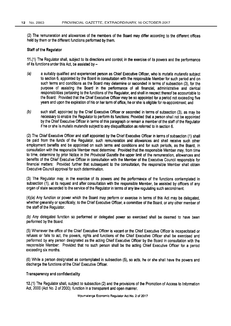(2) The remuneration and allowances of the members of the Board may differ according to the different offices held by them or the different functions performed by them.

#### Staff of the Regulator

11.(1) The Regulator shall, subject to its directions and control, in the exercise of its powers and the performance of its functions under this Act, be assisted by  $-$ 

- (a) a suitably qualified and experienced person as Chief Executive Officer, who is mutatis mutandis subject to section 6, appointed by the Board in consultation with the responsible Member for such period and on such terms and conditions as the Board may determine or seconded in terms of subsection (3), for the purpose of assisting the Board in the performance of all financial, administrative and clerical responsibilities pertaining to the functions of the Regulator, and shall in respect thereof be accountable to the Board: Provided that the Chief Executive Officer may be so appointed for a period not exceeding five years and upon the expiration of his or her term of office, he or she is eligible for re.appointment; and
- (b) such staff, appointed by the Chief Executive Officer or seconded in terms of subsection (3), as may be necessary to enable the Regulator to perform its functions: Provided that a person shall not be appointed by the Chief Executive Officer in terms of this paragraph or remain a member of the staff of the Regulator if he or she is mutatis mutandis subject to any disqualification as referred to in section 6.

(2) The Chief Executive Officer and staff appointed by the Chief Executive OffICer in terms of subsection (1) shall be paid from the funds of the Regulator, such remuneration and allowances and shall receive such other employment benefits and be appointed on such terms and conditions and for such periods, as the Board, in consuttation with the responsible Member must determine: Provided that the responsible Member may, from time to time, determine by prior Notice in the Provincial Gazette the upper limit of the remuneration, allowances and benefits of the Chief Executive Officer in consultation with the Member of the Executive Council responsible for financial matters: Provided further that subsequent to the consultation, the responsible Member shall obtain Executive Council approval for such determination.

(3) The Regulator may, in the exercise of its powers and the performance of the functions contemplated in subsection (1), at its request and after consultation with the responsible Member, be assisted by officers of any organ of state seconded to the service of the Regulator in terms of any law regulating such secondment.

 $(4)(a)$  Any function or power which the Board may perform or exercise in terms of this Act may be delegated. whether generally or specifically. to the Chief Executive Officer, a committee of the Board, or any other member of the staff of the Regulator.

(b) Any delegated function so performed or delegated power so exercised shall be deemed to have been performed by the Board.

(5) Whenever the office of the Chief Executive Officer is vacant or the Chief Executive Officer is incapacitated or refuses or fails to act, the powers, rights and functions of the Chief Executive Officer shall be exercised and performed by any person designated as the acting Chief Executive Officer by the Board in consultation with the responsible Member: Provided that no such person shall be the acting Chief Executive Officer for a period exceeding six months.

(6) While a person designated as contemplated in subsection (5), so acts, he or she shall have the powers and discharge the functions of the Chief Executive Officer.

#### Transparency and confidentiality

12.(1) The Regulator shall, subject to subsection (2) and the provisions of the Promotion of Access to Information Act, 2000 (Act No. 2 of 2000), function in a transparent and open manner.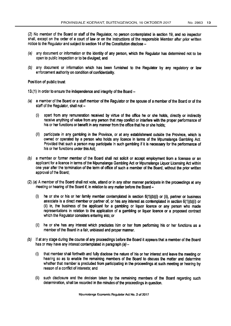(2) No member of the Board or staff of the Regulator, no person contemplated in section 19, and no inspector shall, except on the order of a court of law or on the instructions of the responsible Member after prior written notice to the Regulator and subject to section 14 of the Constitution disclose  $-$ 

- (a) any document or information or the identity of any person, which the Regulator has determined not to be open to public inspection or to be divulged; and
- (b) any document or information which has been fumished to the Regulator by any regulatory or law enforcement authority on condition of confidentiality.

Position of public trust

13.(1) In order to ensure the independence and integrity of the Board -

- (a) a member of the Board or a staff member of the Regulator or the spouse of a member of the Board or of the staff of the Regulator, shall not -
	- (i) apart from any remuneration received by virtue of the office he or she holds, directly or indirectly receive anything of value from any person that may conflict or interfere with the proper performance of his or her functions or benefit in any manner from the office that he or she holds;
	- (ii) participate in any gambling in the Province, or at any establishment outside the Province, which is owned or operated by a person who holds any licence in terms of the Mpumalanga Gambling Act: Provided that such a person may participate in such gambling if it is necessary for the performance of his or her functions under this Act;
- (b) a member or former member of the Board shall not solicit or accept employment from a licensee or an applicant for a licence in terms of the Mpumalanga Gambling Act or Mpumalanga Liquor Licensing Act within one year after the termination of the term of office of such a member of the Board, without the prior written approval of the Board;
- (2) (a) A member of the Board shall not vote, attend or in any other manner participate in the proceedings at any meeting or hearing of the Board if, in relation to any matter before the Board -
	- (i) he or she or his or her family member contemplated in section  $6(1)(b)(i)$  or (ii), partner or business associate is a direct member or partner of, or has any interest as contemplated in section 6(1)(b)(i) or (ii) in, the business of the applicant for a gambling or liquor licence or any person who made representations in relation to the application of a gambling or liquor licence or a proposed contract which the Regulator considers entering into; or
	- (ii) he or she has any interest which precludes him or her from performing his or her functions as a member of the Board in a fair, unbiased and proper manner.
- (b) If at any stage during the course of any proceedings before the Board it appears that a member of the Board has or may have any interest contemplated in paragraph  $(a)$  -
	- (i) that member shall forthwith and fully disclose the nature of his or her interest and leave the meeting or hearing so as to enable the remaining members of the Board to discuss the matter and determine whether that member is precluded from participating in the proceedings at such meeting or hearing by reason of a conflict of interests; and
	- (ii) such disclosure and the decision taken by the remaining members of the Board regarding such determination, shall be recorded in the minutes of the proceedings in question.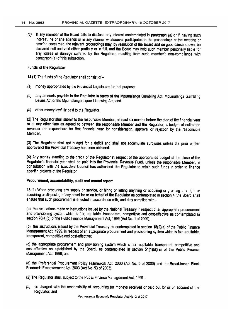(e) If any member of the Board fails to disclose any interest contemplated in paragraph (a) or if, having such interest, he or she attends or in any manner whatsoever participates in the proceedings at the meeting or hearing concerned, the relevant proceedings may, by resolution of the Board and on good cause shown, be declared null and void either partially or in futl, and the Board may hold such member personally liable for any losses or damage suffered by the Regulator, resulting from such member's non-compliance with paragraph (a) of this subsection.

#### Funds of the Regulator

- 14.(1) The funds of the Regulator shall consist of-
- (a) money appropriated by the Provincial Legislature for that purpose;
- (b) any amounts payable to the Regulator in terms of the Mpumalanga Gambling Act, Mpumalanga Gambling Levies Act or the Mpumalanga Liquor Licensing Act; and
- (e) other money lawfully paid to the Regulator.

(2) The Regulator shall submit to the responsible Member, at least six months before the start of the financial year or at any other time as agreed to between the responsible Member and the Regulator, a budget of estimated revenue and expenditure for that financial year for consideration, approval or rejection by the responsible Member.

(3) The Regulator shall not budget for a deficit and shall not accumulate surpluses unless the prior written approval of the Provincial Treasury has been obtained.

(4) Any money standing to the credit of the Regulator in respect of the appropriated budget at the crose of the Regulator's financial year snail be paid into the Provincial Revenue Fund, unless the responsible Member, in consultation with the Executive Council has authorised the Regulator to retain such funds in order to finance specific projects of the Regulator.

## Procurement, accountability, audit and annual report

15.(1) When procuring any supply or service, or hiring or letting anything or acquiring or granting any right or acquiring or disposing of any asset for or on behalf of the Regulator as contemplated in section 4, the Board shall ensure that such procurement is effected in accordance with, and duly complies with-

(a) the regulations made or instructions issued by the National Treasury in respect of an appropriate procurement and provisioning system which is fair, equitable, transparent, competitive and cost-effective as contemplated in section 76(4)(c) of the Public Finance Management Act, 1999 (Act No. 1 of 1999);

(b) the instructions issued by the Provincial Treasury as contemplated in section 18(2)(a) of the Public Finance Management Act, 1999, in respect of an appropriate procurement and provisioning system which is fair, equitable, transparent, competitive and cost-effective;

(c) the appropriate procurement and provisioning system which is fair, equitable, transparent, competitive and cost-effective as established by the Board, as contemplated in section 51(1)(a)(iii) of the Public Finance Management Act, 1999; and

(d) the Preferential Procurement Policy Framework Act, 2000 (Act NO.5 of 2000) and the Broad-based Black Economic Empowerment Act, 2003 (Act No. 53 of 2003).

- (2) The Regulator shall, subject to the Public Finance Management Act, 1999 -
- (a) be charged with the responsibility of accounting for moneys received or paid out for or on account of the Regulator; and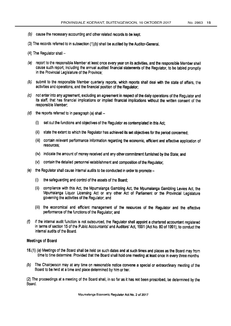- (b) cause the necessary accounting and other related records to be kept.
- (3) The records referred to in subsection  $(1)(b)$  shall be audited by the Auditor-General.
- (4) The Regulator shall  $-$
- (a) report to the responsible Member at least once every year on its activities, and the responsible Member shall cause such report, including the annual audited financial statements of the Regulator, to be tabled promptly in the Provincial Legislature of the Province;
- $(b)$  submit to the responsible Member quarterly reports, which reports shall deal with the state of affairs, the activities and operations, and the financial position of the Regulator;
- (c) not enter into any agreement, excluding an agreement in respect of the daily operations of the Regulator and its staff, that has financial implications or implied financial implications without the written consent of the responsible Member,
- $(d)$  the reports referred to in paragraph (a) shall -
	- (i) set out the functions and objectives of the Regulator as contemplated in this Act;
	- (ii) state the extent to which the Regulator has achieved its set objectives for the period concerned;
	- (iii) contain relevant performance information regarding the economic, efficient and effective application of resources;
	- (iv) indicate the amount of money received and any other commitment furnished by the State; and
	- (v) contain the detailed personnel establishment and composition of the Regulator;
- (e) the Regulator shall cause internal audits to be conducted in order to promote  $-$ 
	- (i) the safeguarding and control of the assets of the Board;
	- (ii) compliance with this Act, the Mpumalanga Gambling Act, the Mpumalanga Gambling Levies Act, the Mpumalanga Liquor Licensing Act or any other Act of Parliament or the Provincial Legislature governing the activities of the Regulator, and
	- (iii) the economical and efficient management of the resources of the Regulator and the effective performance of the functions of the Regulator; and
- m if the internal audit function is not outsourced, the Regulator shall appoint a chartered accountant registered in terms of section 15 of the Public Accountants' and Auditors' Act, 1991 (Act No. 80 of 1991), to conduct the internal audits of the Board,

## Meetings of Board

- 16.(1) (a) Meetings of the Board shall be held on such dates and at such times and places as the Board may from time to time determine: Provided that the Board shall hold one meeting at least once in every three months
- (b) The Chairperson may at any time on reasonable notice convene a special or extraordinary meeting of the Board to be held at a time and place determined by him or her.

(2) The proceedings at a meeting of the Board shall, in so far as it has not been prescribed, be determined by the Board,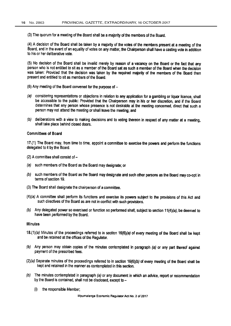(3) The quorum for a meeting of the Board shall be a majority of the members of the Board.

(4) A decision of the Board shall be taken by a majority of the votes of the members present at a meeting of the Board, and in the event of an equality of votes on any matter, the Chairperson shall have a casting vote in addition to his or her deliberative vote.

(5) No decision of the Board shall be invalid merely by reason of a vacancy on the Board or the fact that any person who is not entitled to sit as a member of the Board sat as such a member of the Board when the decision was taken: Provided that the decision was taken by the required majority of the members of the Board then present and entttied to sit as members of the Board.

(6) Any meeting of the Board convened for the purpose of  $-$ 

- (a) considering representations or objections in relation to any application for a gambling or liquor licence, shall be accessible to the public: Provided that the Chairperson may in his or her discretion, and if the Board determines that any person whose presence is not desirable at the meeting concemed, direct that such a person may not attend the meeting or shall leave the meeting; and
- (b) deliberations with a view to making decisions and to voting thereon in respect of any matter at a meeting, shall take place behind closed doors.

## Committees of Board

17.(1) The Board may, from time to time, appoint a committee to exercise the powers and perform the functions delegated to it by the Board.

 $(2)$  A committee shall consist of  $-$ 

- (a) such members of the Board as the Board may designate; or
- (b) such members of the Board as the Board may designate and such other persons as the Board may co-opt in terms of section 19.
- (3) The Board shall designate the chairperson of a committee.
- (4)(a) A committee shall perform its functions and exercise its powers subject to the provisions of this Act and such directives of the Board as are not in conflict with such provisions.
- (b) Any delegated power so exercised or function so perfonned shall. subject to section 11(4)(a), be deemed to have been performed by the Board.

#### Minutes

- 18.(1)(a) Minutes of the proceedings referred to in section 16(6)(a) of every meeting of the Board shall be kept and be retained at the offices of the Regulator.
- (b) Any person may obtain copies of the minutes contemplated in paragraph (a) or any part thereof against payment of the prescribed fees.
- (2)(a) Separate minutes of the proceedings referred to in section 16(6)(b) of every meeting of the Board shall be kept and retained in the manner as contemplated in this section.
- (b) The minutes contemplated in paragraph (a) or any document in which an advice, report or recommendation by the Board is contained, shall not be disclosed, except to -
	- (i) the responsible Member,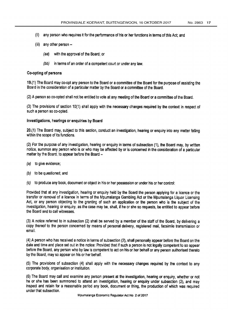- (ii) any person who requires it for the performance of his or her functions in terms of this Act; and
- (iii) any other person  $-$ 
	- (aa) with the approval of the Board; or
	- (bb) in terms of an order of a competent court or under any law.

#### Co-opting of persons

19.(1) The Board may co-opt any person to the Board or a committee of the Board for the purpose of assisting the Board in the consideration of a particular matter by the Board or a committee of the Board.

(2) A person so co-opted shall not be entitled to vote at any meeting of the Board or a committee of the Board.

(3) The provisions of section 10(1) shall apply with the necessary changes required by the context in respect of such a person so co-opted.

#### Investigations, hearings or enquiries by Board

20.(1) The Board may, subject to this section, conduct an investigation, hearing or enquiry into any matter falling within the scope of its functions.

(2) For the purpose of any investigation, hearing or enquiry in terms of subsection (1), the Board may, by written notice, summon any person who is or who may be affected by or is concerned in the consideration of a particular matter by the Board, to appear before the Board -

- (a) to give evidence;
- (b) to be questioned; and
- (e) to produce any book, document or object in his or her possession or under his or her control:

Provided that at any investigation, hearing or enquiry held by the Board the person applying for a licence or the transfer or removal of a licence in terms of the Mpumalanga Gambling Act or the Mpumalanga Liquor Licensing Act, or any person objecting to the granting of such an application or the person who is the subject of the investigation, hearing or enquiry, as the case may be, shall, if he or she so requests, be entitled to appear before the Board and to call witnesses.

(3) A notice referred to in subsection (2) shall be served by a member of the staff of the Board, by delivering a copy thereof to the person concerned by means of personal delivery, registered mail, facsimile transmission or email.

(4) A person who has received a notice in terms of subsection (2), shall personally appear before the Board on the date and time and place set out in the notice: Provided that if such a person is not legally competent to so appear before the Board, any person who by law is competent to act on his or her behalf or any person authorised thereto by the Board, may so appear on his or her behalf.

(5) The provisions of subsection (4) shall apply with the necessary Changes required by the context to any corporate body, organisation or institution.

(6) The Board may call and examine any person present at the investigation, hearing or enquiry, whether or not he or she has been summoned to attend an investigation, hearing or enquiry under subsection (2), and may inspect and retain for a reasonable period any book, document or thing, the production of which was required under that subsection.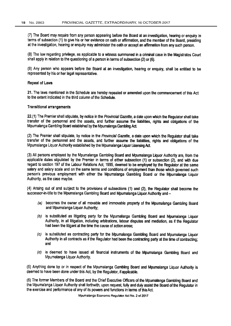(7) The Board may require from any person appearing before the Board at an investigation. hearing or enquiry in terms of subsection (1) to give his or her evidence on oath or affirmation. and the member of the Board, presiding at the investigation, hearing or enquiry may administer the oath or accept an affirmation from any such person.

(8) The law regarding privilege, as applicable to a witness summoned in a criminal case in the Magistrates Court shall apply in relation to the questioning of a person in terms of subsection (2) or (6).

(9) Any person who appears before the Board at an investigation, hearing or enquiry. shall be entitled to be represented by his or her legal representative.

#### Repeal of Laws

21. The laws mentioned in the Schedule are hereby repealed or amended upon the commencement of this Act to the extent indicated in the third column of the Schedule.

#### Transitional arrangements

22.(1) The Premier shall stipulate, by notice in the Provincial Gazette, a date upon which the Regulator shall take transfer of the personnel and the assets. and further assume the liabilities. rights and obligations of the Mpumalanga Gambling Board established by the Mpumalanga Gambling Act.

(2) The Premier shall stipulate, by notice in the Provincial Gazette. a date upon which the Regulator shall take transfer of the personnel and the assets, and further assume the liabilities, rights and obligations of the Mpumalanga Liquor Authority established by the Mpumalanga Liquor Licensing Act.

(3) All persons employed by the Mpumalanga Gambling Board and Mpumalanga Liquor Authority are. from the applicable dates stipulated by the Premier in terms of either subsection (1) or subsection (2), and with due regard to section 197 of the Labour Relations Act, 1995, deemed to be employed by the Regulator at the same salary and salary scale and on the same terms and conditions of employment than those which governed such person's previous employment with either the Mpumalanga Gambling Board or the Mpumalanga Liquor Authority, as the case may be.

(4) Arising out of and subject to the provisions of subsections (1) and (2), the Regulator shall become the successor-in-title to the Mpumalanga Gambling Board and Mpumalanga Liquor Authority and -

- (a) becomes the owner of all movable and immovable property of the Mpumalanga Gambling Board and Mpumalanga Liquor Authority;
- (b) is substituted as litigating party for the MpumaJanga Gambling Board and Mpumalanga Liquor Authority, in all litigation, including arbitrations, labour disputes and mediation, as if the Regulator had been the litigant at the time the cause of action arose;
- (c) is substituted as contracting party for the Mpumalanga Gambling Board and Mpumalanga Liquor Authority in all contracts as if the Regulator had been the contracting party at the time of contracting; and
- (d) is deemed to have issued all financial instruments of the Mpumalanga Gambling Board and Mpumalanga Liquor Authority.

(5) Anything done by or in respect of the Mpumalanga Gambling Board and Mpumalanga Liquor Authority is deemed to have been done under this Act, by the Regulator, if applicable.

(6) The former Members of the Board and the Chief Executive Officers of the Mpumalanga Gambling Board and the Mpumalanga Liquor Authority shall forthwith, upon request, fully and duly assist the Board of the Regulator in the exercise and performance of any of its powers and functions in terms of this Act.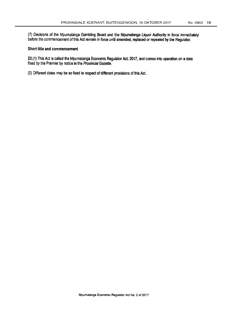(7) Decisions of the Mpumalanga Gambling Board and the Mpumalanga Liquor Authority in force immediately before the commencement of this Act remain in force until amended, replaced or repealed by the Regulator.

#### Short title and commencement

23.(1) This Act is called the Mpumalanga Economic Regulator Act, 2017, and comes into operation on a date fixed by the Premier by notice in the Provincial Gazette.

(2) Different dates may be so fixed in respect of different provisions of this Act.